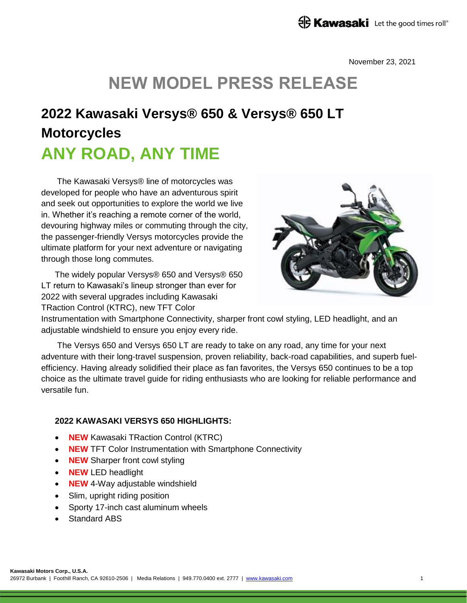## **ED Kawasaki** Let the good times roll<sup>®</sup>

November 23, 2021

# **NEW MODEL PRESS RELEASE**

# **2022 Kawasaki Versys® 650 & Versys® 650 LT Motorcycles ANY ROAD, ANY TIME**

The Kawasaki Versys® line of motorcycles was developed for people who have an adventurous spirit and seek out opportunities to explore the world we live in. Whether it's reaching a remote corner of the world, devouring highway miles or commuting through the city, the passenger-friendly Versys motorcycles provide the ultimate platform for your next adventure or navigating through those long commutes.

The widely popular Versys® 650 and Versys® 650 LT return to Kawasaki's lineup stronger than ever for 2022 with several upgrades including Kawasaki TRaction Control (KTRC), new TFT Color



Instrumentation with Smartphone Connectivity, sharper front cowl styling, LED headlight, and an adjustable windshield to ensure you enjoy every ride.

The Versys 650 and Versys 650 LT are ready to take on any road, any time for your next adventure with their long-travel suspension, proven reliability, back-road capabilities, and superb fuelefficiency. Having already solidified their place as fan favorites, the Versys 650 continues to be a top choice as the ultimate travel guide for riding enthusiasts who are looking for reliable performance and versatile fun.

#### **2022 KAWASAKI VERSYS 650 HIGHLIGHTS:**

- **NEW** Kawasaki TRaction Control (KTRC)
- **NEW** TFT Color Instrumentation with Smartphone Connectivity
- **NEW** Sharper front cowl styling
- **NEW** LED headlight
- **NEW** 4-Way adjustable windshield
- Slim, upright riding position
- Sporty 17-inch cast aluminum wheels
- Standard ABS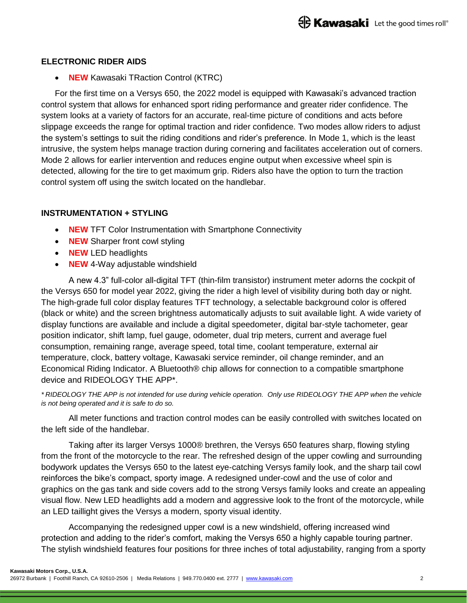#### **ELECTRONIC RIDER AIDS**

**• NEW** Kawasaki TRaction Control (KTRC)

For the first time on a Versys 650, the 2022 model is equipped with Kawasaki's advanced traction control system that allows for enhanced sport riding performance and greater rider confidence. The system looks at a variety of factors for an accurate, real-time picture of conditions and acts before slippage exceeds the range for optimal traction and rider confidence. Two modes allow riders to adjust the system's settings to suit the riding conditions and rider's preference. In Mode 1, which is the least intrusive, the system helps manage traction during cornering and facilitates acceleration out of corners. Mode 2 allows for earlier intervention and reduces engine output when excessive wheel spin is detected, allowing for the tire to get maximum grip. Riders also have the option to turn the traction control system off using the switch located on the handlebar.

#### **INSTRUMENTATION + STYLING**

- **NEW** TFT Color Instrumentation with Smartphone Connectivity
- **NEW** Sharper front cowl styling
- **NEW** LED headlights
- **NEW** 4-Way adjustable windshield

A new 4.3" full-color all-digital TFT (thin-film transistor) instrument meter adorns the cockpit of the Versys 650 for model year 2022, giving the rider a high level of visibility during both day or night. The high-grade full color display features TFT technology, a selectable background color is offered (black or white) and the screen brightness automatically adjusts to suit available light. A wide variety of display functions are available and include a digital speedometer, digital bar-style tachometer, gear position indicator, shift lamp, fuel gauge, odometer, dual trip meters, current and average fuel consumption, remaining range, average speed, total time, coolant temperature, external air temperature, clock, battery voltage, Kawasaki service reminder, oil change reminder, and an Economical Riding Indicator. A Bluetooth® chip allows for connection to a compatible smartphone device and RIDEOLOGY THE APP\*.

*\* RIDEOLOGY THE APP is not intended for use during vehicle operation. Only use RIDEOLOGY THE APP when the vehicle is not being operated and it is safe to do so.*

All meter functions and traction control modes can be easily controlled with switches located on the left side of the handlebar.

Taking after its larger Versys 1000® brethren, the Versys 650 features sharp, flowing styling from the front of the motorcycle to the rear. The refreshed design of the upper cowling and surrounding bodywork updates the Versys 650 to the latest eye-catching Versys family look, and the sharp tail cowl reinforces the bike's compact, sporty image. A redesigned under-cowl and the use of color and graphics on the gas tank and side covers add to the strong Versys family looks and create an appealing visual flow. New LED headlights add a modern and aggressive look to the front of the motorcycle, while an LED taillight gives the Versys a modern, sporty visual identity.

Accompanying the redesigned upper cowl is a new windshield, offering increased wind protection and adding to the rider's comfort, making the Versys 650 a highly capable touring partner. The stylish windshield features four positions for three inches of total adjustability, ranging from a sporty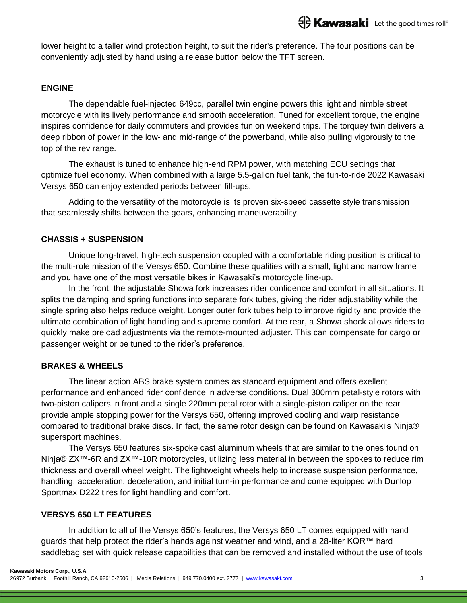lower height to a taller wind protection height, to suit the rider's preference. The four positions can be conveniently adjusted by hand using a release button below the TFT screen.

#### **ENGINE**

The dependable fuel-injected 649cc, parallel twin engine powers this light and nimble street motorcycle with its lively performance and smooth acceleration. Tuned for excellent torque, the engine inspires confidence for daily commuters and provides fun on weekend trips. The torquey twin delivers a deep ribbon of power in the low- and mid-range of the powerband, while also pulling vigorously to the top of the rev range.

The exhaust is tuned to enhance high-end RPM power, with matching ECU settings that optimize fuel economy. When combined with a large 5.5-gallon fuel tank, the fun-to-ride 2022 Kawasaki Versys 650 can enjoy extended periods between fill-ups.

Adding to the versatility of the motorcycle is its proven six-speed cassette style transmission that seamlessly shifts between the gears, enhancing maneuverability.

#### **CHASSIS + SUSPENSION**

Unique long-travel, high-tech suspension coupled with a comfortable riding position is critical to the multi-role mission of the Versys 650. Combine these qualities with a small, light and narrow frame and you have one of the most versatile bikes in Kawasaki's motorcycle line-up.

In the front, the adjustable Showa fork increases rider confidence and comfort in all situations. It splits the damping and spring functions into separate fork tubes, giving the rider adjustability while the single spring also helps reduce weight. Longer outer fork tubes help to improve rigidity and provide the ultimate combination of light handling and supreme comfort. At the rear, a Showa shock allows riders to quickly make preload adjustments via the remote-mounted adjuster. This can compensate for cargo or passenger weight or be tuned to the rider's preference.

### **BRAKES & WHEELS**

The linear action ABS brake system comes as standard equipment and offers exellent performance and enhanced rider confidence in adverse conditions. Dual 300mm petal-style rotors with two-piston calipers in front and a single 220mm petal rotor with a single-piston caliper on the rear provide ample stopping power for the Versys 650, offering improved cooling and warp resistance compared to traditional brake discs. In fact, the same rotor design can be found on Kawasaki's Ninja® supersport machines.

The Versys 650 features six-spoke cast aluminum wheels that are similar to the ones found on Ninja® ZX<sup>™</sup>-6R and ZX<sup>™</sup>-10R motorcycles, utilizing less material in between the spokes to reduce rim thickness and overall wheel weight. The lightweight wheels help to increase suspension performance, handling, acceleration, deceleration, and initial turn-in performance and come equipped with Dunlop Sportmax D222 tires for light handling and comfort.

### **VERSYS 650 LT FEATURES**

In addition to all of the Versys 650's features, the Versys 650 LT comes equipped with hand guards that help protect the rider's hands against weather and wind, and a 28-liter KQR™ hard saddlebag set with quick release capabilities that can be removed and installed without the use of tools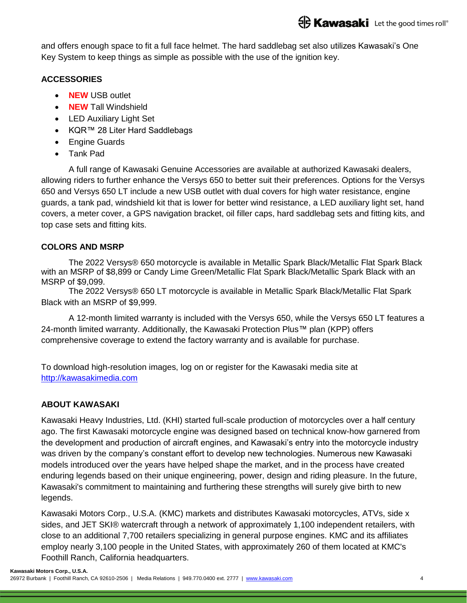and offers enough space to fit a full face helmet. The hard saddlebag set also utilizes Kawasaki's One Key System to keep things as simple as possible with the use of the ignition key.

#### **ACCESSORIES**

- **NEW** USB outlet
- **NEW** Tall Windshield
- LED Auxiliary Light Set
- KQR™ 28 Liter Hard Saddlebags
- Engine Guards
- Tank Pad

A full range of Kawasaki Genuine Accessories are available at authorized Kawasaki dealers, allowing riders to further enhance the Versys 650 to better suit their preferences. Options for the Versys 650 and Versys 650 LT include a new USB outlet with dual covers for high water resistance, engine guards, a tank pad, windshield kit that is lower for better wind resistance, a LED auxiliary light set, hand covers, a meter cover, a GPS navigation bracket, oil filler caps, hard saddlebag sets and fitting kits, and top case sets and fitting kits.

#### **COLORS AND MSRP**

The 2022 Versys® 650 motorcycle is available in Metallic Spark Black/Metallic Flat Spark Black with an MSRP of \$8,899 or Candy Lime Green/Metallic Flat Spark Black/Metallic Spark Black with an MSRP of \$9,099.

The 2022 Versys® 650 LT motorcycle is available in Metallic Spark Black/Metallic Flat Spark Black with an MSRP of \$9,999.

A 12-month limited warranty is included with the Versys 650, while the Versys 650 LT features a 24-month limited warranty. Additionally, the Kawasaki Protection Plus™ plan (KPP) offers comprehensive coverage to extend the factory warranty and is available for purchase.

To download high-resolution images, log on or register for the Kawasaki media site at [http://kawasakimedia.com](http://kawasakimedia.com/)

### **ABOUT KAWASAKI**

Kawasaki Heavy Industries, Ltd. (KHI) started full-scale production of motorcycles over a half century ago. The first Kawasaki motorcycle engine was designed based on technical know-how garnered from the development and production of aircraft engines, and Kawasaki's entry into the motorcycle industry was driven by the company's constant effort to develop new technologies. Numerous new Kawasaki models introduced over the years have helped shape the market, and in the process have created enduring legends based on their unique engineering, power, design and riding pleasure. In the future, Kawasaki's commitment to maintaining and furthering these strengths will surely give birth to new legends.

Kawasaki Motors Corp., U.S.A. (KMC) markets and distributes Kawasaki motorcycles, ATVs, side x sides, and JET SKI® watercraft through a network of approximately 1,100 independent retailers, with close to an additional 7,700 retailers specializing in general purpose engines. KMC and its affiliates employ nearly 3,100 people in the United States, with approximately 260 of them located at KMC's Foothill Ranch, California headquarters.